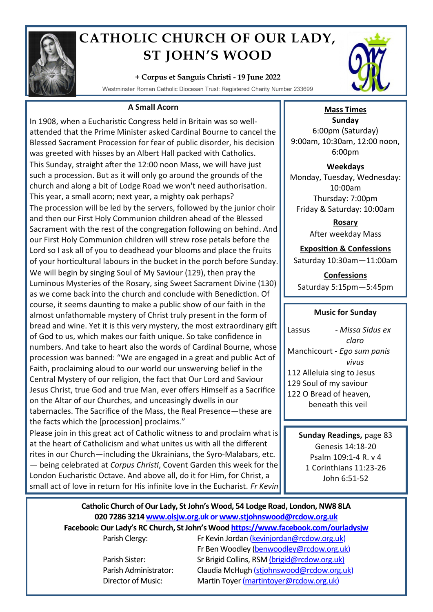

# **CATHOLIC CHURCH OF OUR LADY, ST JOHN'S WOOD**

## **+ Corpus et Sanguis Christi - 19 June 2022**

Westminster Roman Catholic Diocesan Trust: Registered Charity Number 233699

### **A Small Acorn**

In 1908, when a Eucharistic Congress held in Britain was so wellattended that the Prime Minister asked Cardinal Bourne to cancel the Blessed Sacrament Procession for fear of public disorder, his decision was greeted with hisses by an Albert Hall packed with Catholics. This Sunday, straight after the 12:00 noon Mass, we will have just such a procession. But as it will only go around the grounds of the church and along a bit of Lodge Road we won't need authorisation. This year, a small acorn; next year, a mighty oak perhaps? The procession will be led by the servers, followed by the junior choir and then our First Holy Communion children ahead of the Blessed Sacrament with the rest of the congregation following on behind. And our First Holy Communion children will strew rose petals before the Lord so I ask all of you to deadhead your blooms and place the fruits of your horticultural labours in the bucket in the porch before Sunday. We will begin by singing Soul of My Saviour (129), then pray the Luminous Mysteries of the Rosary, sing Sweet Sacrament Divine (130) as we come back into the church and conclude with Benediction. Of course, it seems daunting to make a public show of our faith in the almost unfathomable mystery of Christ truly present in the form of bread and wine. Yet it is this very mystery, the most extraordinary gift of God to us, which makes our faith unique. So take confidence in numbers. And take to heart also the words of Cardinal Bourne, whose procession was banned: "We are engaged in a great and public Act of Faith, proclaiming aloud to our world our unswerving belief in the Central Mystery of our religion, the fact that Our Lord and Saviour Jesus Christ, true God and true Man, ever offers Himself as a Sacrifice on the Altar of our Churches, and unceasingly dwells in our tabernacles. The Sacrifice of the Mass, the Real Presence—these are the facts which the [procession] proclaims."

Please join in this great act of Catholic witness to and proclaim what is at the heart of Catholicism and what unites us with all the different rites in our Church—including the Ukrainians, the Syro-Malabars, etc. — being celebrated at *Corpus Christi*, Covent Garden this week for the London Eucharistic Octave. And above all, do it for Him, for Christ, a small act of love in return for His infinite love in the Eucharist. *Fr Kevin*



## **Mass Times**

**Sunday** 6:00pm (Saturday) 9:00am, 10:30am, 12:00 noon, 6:00pm

**Weekdays** Monday, Tuesday, Wednesday: 10:00am Thursday: 7:00pm Friday & Saturday: 10:00am

> **Rosary** After weekday Mass

## **Exposition & Confessions**

Saturday 10:30am—11:00am

**Confessions**  Saturday 5:15pm—5:45pm

#### **Music for Sunday**

Lassus - *Missa Sidus ex claro* Manchicourt - *Ego sum panis vivus*  112 Alleluia sing to Jesus 129 Soul of my saviour 122 O Bread of heaven, beneath this veil

> **Sunday Readings,** page 83 Genesis 14:18-20 Psalm 109:1-4 R. v 4 1 Corinthians 11:23-26 John 6:51-52

## **Catholic Church of Our Lady, St John's Wood, 54 Lodge Road, London, NW8 8LA 020 7286 3214 www.olsjw.org.uk or www.stjohnswood@rcdow.org.uk**

**Facebook: Our Lady's RC Church, St John's Wood https://www.facebook.com/ourladysjw**

Parish Clergy: Fr Kevin Jordan (kevinjordan@rcdow.org.uk) Fr Ben Woodley (benwoodley@rcdow.org.uk) Parish Sister: Sr Brigid Collins, RSM (brigid@rcdow.org.uk) Parish Administrator: Claudia McHugh (stjohnswood@rcdow.org.uk) Director of Music: Martin Toyer (martintoyer@rcdow.org.uk)